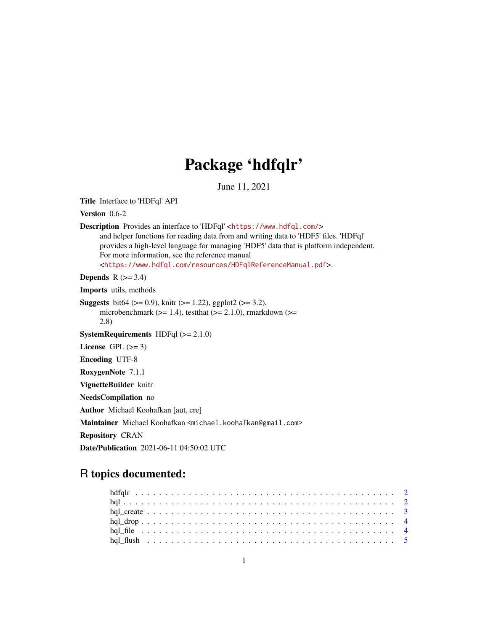# Package 'hdfqlr'

June 11, 2021

<span id="page-0-0"></span>Title Interface to 'HDFql' API

Version 0.6-2

Description Provides an interface to 'HDFql' <<https://www.hdfql.com/>>

and helper functions for reading data from and writing data to 'HDF5' files. 'HDFql' provides a high-level language for managing 'HDF5' data that is platform independent. For more information, see the reference manual <<https://www.hdfql.com/resources/HDFqlReferenceManual.pdf>>.

**Depends**  $R$  ( $>= 3.4$ )

Imports utils, methods

**Suggests** bit64 ( $>= 0.9$ ), knitr ( $>= 1.22$ ), ggplot2 ( $>= 3.2$ ), microbenchmark ( $>= 1.4$ ), testthat ( $>= 2.1.0$ ), rmarkdown ( $>=$ 2.8)

**SystemRequirements**  $HDFq1 (> = 2.1.0)$ 

License GPL  $(>= 3)$ 

Encoding UTF-8

RoxygenNote 7.1.1

VignetteBuilder knitr

NeedsCompilation no

Author Michael Koohafkan [aut, cre]

Maintainer Michael Koohafkan <michael.koohafkan@gmail.com>

Repository CRAN

Date/Publication 2021-06-11 04:50:02 UTC

# R topics documented: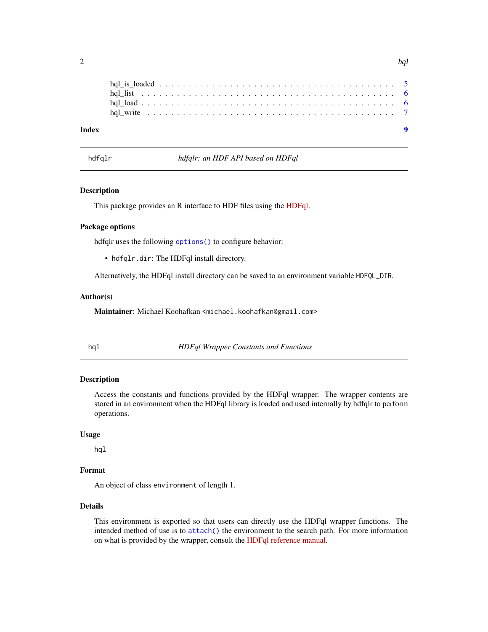<span id="page-1-0"></span>

| Index |  |  |  |  |  |  |  |  |  |  |  |  |  |  |  |  |
|-------|--|--|--|--|--|--|--|--|--|--|--|--|--|--|--|--|
|       |  |  |  |  |  |  |  |  |  |  |  |  |  |  |  |  |
|       |  |  |  |  |  |  |  |  |  |  |  |  |  |  |  |  |
|       |  |  |  |  |  |  |  |  |  |  |  |  |  |  |  |  |
|       |  |  |  |  |  |  |  |  |  |  |  |  |  |  |  |  |

hdfqlr *hdfqlr: an HDF API based on HDFql*

### Description

This package provides an R interface to HDF files using the [HDFql.](https://www.hdfql.com/)

#### Package options

hdfqlr uses the following options () to configure behavior:

• hdfqlr.dir: The HDFql install directory.

Alternatively, the HDFql install directory can be saved to an environment variable HDFQL\_DIR.

#### Author(s)

Maintainer: Michael Koohafkan <michael.koohafkan@gmail.com>

hql *HDFql Wrapper Constants and Functions*

#### Description

Access the constants and functions provided by the HDFql wrapper. The wrapper contents are stored in an environment when the HDFql library is loaded and used internally by hdfqlr to perform operations.

#### Usage

hql

# Format

An object of class environment of length 1.

#### Details

This environment is exported so that users can directly use the HDFql wrapper functions. The intended method of use is to [attach\(\)](#page-0-0) the environment to the search path. For more information on what is provided by the wrapper, consult the [HDFql reference manual.](https://www.hdfql.com/#documentation)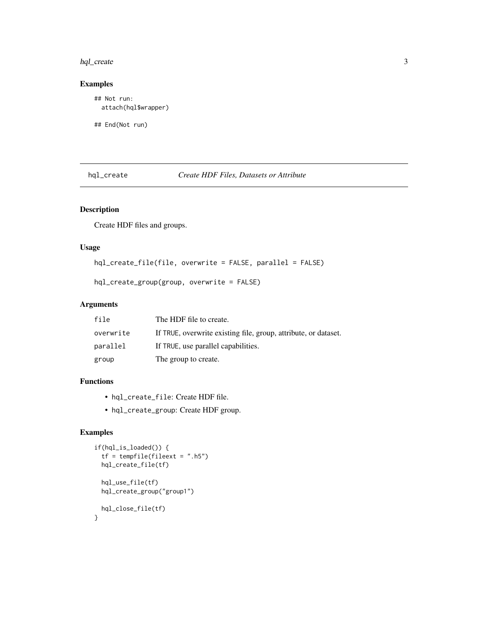# <span id="page-2-0"></span>hql\_create 3

# Examples

## Not run: attach(hql\$wrapper)

## End(Not run)

# hql\_create *Create HDF Files, Datasets or Attribute*

# Description

Create HDF files and groups.

# Usage

hql\_create\_file(file, overwrite = FALSE, parallel = FALSE)

hql\_create\_group(group, overwrite = FALSE)

## Arguments

| file      | The HDF file to create.                                         |
|-----------|-----------------------------------------------------------------|
| overwrite | If TRUE, overwrite existing file, group, attribute, or dataset. |
| parallel  | If TRUE, use parallel capabilities.                             |
| group     | The group to create.                                            |

#### Functions

- hql\_create\_file: Create HDF file.
- hql\_create\_group: Create HDF group.

# Examples

```
if(hql_is_loaded()) {
  tf = tempfile(fileext = ".h5")
  hql_create_file(tf)
  hql_use_file(tf)
  hql_create_group("group1")
 hql_close_file(tf)
}
```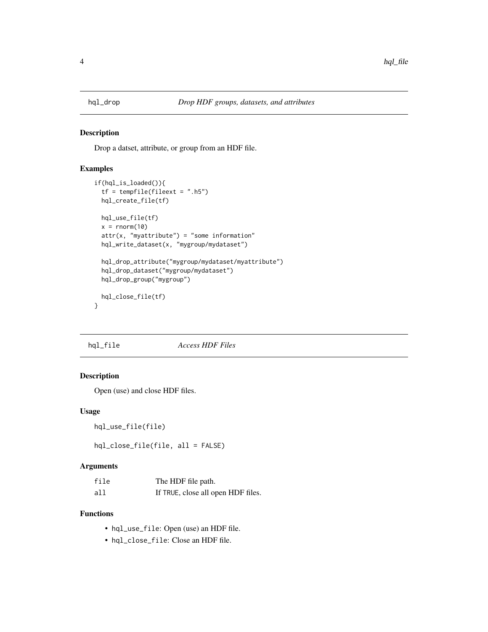<span id="page-3-0"></span>

#### Description

Drop a datset, attribute, or group from an HDF file.

#### Examples

```
if(hql_is_loaded()){
 tf = tempfile(fileext = "h5")hql_create_file(tf)
 hql_use_file(tf)
 x = \text{norm}(10)attr(x, "myattribute") = "some information"hql_write_dataset(x, "mygroup/mydataset")
 hql_drop_attribute("mygroup/mydataset/myattribute")
 hql_drop_dataset("mygroup/mydataset")
 hql_drop_group("mygroup")
 hql_close_file(tf)
}
```
hql\_file *Access HDF Files*

# Description

Open (use) and close HDF files.

#### Usage

hql\_use\_file(file)

hql\_close\_file(file, all = FALSE)

#### Arguments

| file | The HDF file path.                 |
|------|------------------------------------|
| all  | If TRUE, close all open HDF files. |

#### Functions

- hql\_use\_file: Open (use) an HDF file.
- hql\_close\_file: Close an HDF file.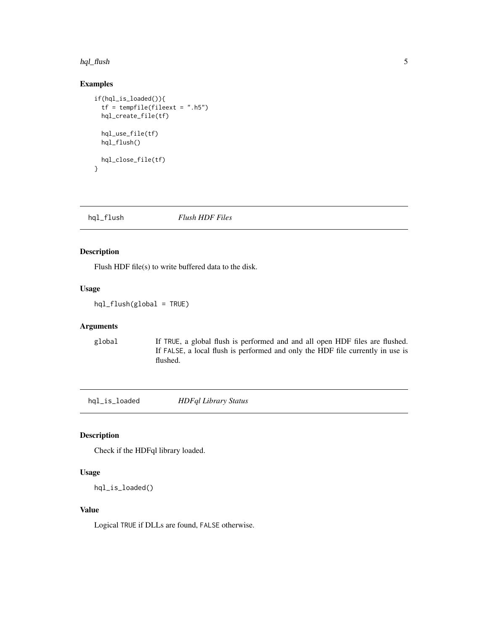#### <span id="page-4-0"></span>hql\_flush 55 to 55 to 55 to 55 to 55 to 55 to 55 to 55 to 55 to 55 to 55 to 55 to 55 to 55 to 55 to 55 to 55 to 55 to 55 to 55 to 55 to 55 to 55 to 55 to 55 to 55 to 55 to 55 to 55 to 55 to 55 to 55 to 55 to 55 to 55 to 55

# Examples

```
if(hql_is_loaded()){
 tf = tempfile(fileext = "h5")hql_create_file(tf)
 hql_use_file(tf)
 hql_flush()
 hql_close_file(tf)
}
```
hql\_flush *Flush HDF Files*

#### Description

Flush HDF file(s) to write buffered data to the disk.

# Usage

hql\_flush(global = TRUE)

#### Arguments

global If TRUE, a global flush is performed and and all open HDF files are flushed. If FALSE, a local flush is performed and only the HDF file currently in use is flushed.

hql\_is\_loaded *HDFql Library Status*

# Description

Check if the HDFql library loaded.

#### Usage

```
hql_is_loaded()
```
#### Value

Logical TRUE if DLLs are found, FALSE otherwise.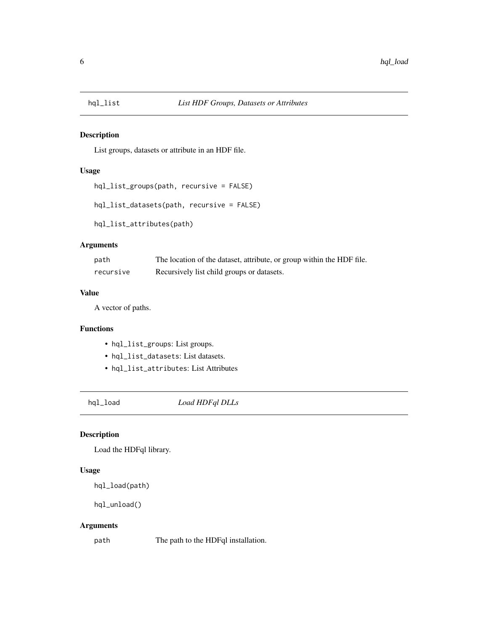<span id="page-5-0"></span>

# Description

List groups, datasets or attribute in an HDF file.

# Usage

```
hql_list_groups(path, recursive = FALSE)
```

```
hql_list_datasets(path, recursive = FALSE)
```
hql\_list\_attributes(path)

# Arguments

| path      | The location of the dataset, attribute, or group within the HDF file. |
|-----------|-----------------------------------------------------------------------|
| recursive | Recursively list child groups or datasets.                            |

#### Value

A vector of paths.

# Functions

- hql\_list\_groups: List groups.
- hql\_list\_datasets: List datasets.
- hql\_list\_attributes: List Attributes

hql\_load *Load HDFql DLLs*

# Description

Load the HDFql library.

# Usage

```
hql_load(path)
```

```
hql_unload()
```
# Arguments

path The path to the HDFql installation.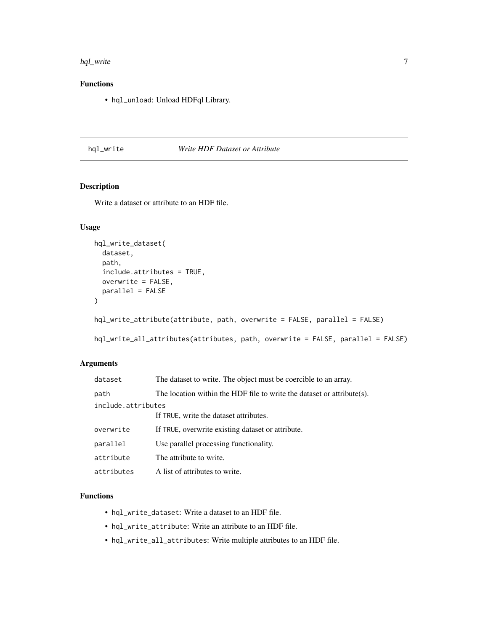#### <span id="page-6-0"></span>hql\_write 7

# Functions

• hql\_unload: Unload HDFql Library.

# hql\_write *Write HDF Dataset or Attribute*

# Description

Write a dataset or attribute to an HDF file.

# Usage

```
hql_write_dataset(
  dataset,
  path,
  include.attributes = TRUE,
  overwrite = FALSE,
 parallel = FALSE
\mathcal{L}hql_write_attribute(attribute, path, overwrite = FALSE, parallel = FALSE)
hql_write_all_attributes(attributes, path, overwrite = FALSE, parallel = FALSE)
```
#### Arguments

| dataset            | The dataset to write. The object must be coercible to an array.        |
|--------------------|------------------------------------------------------------------------|
| path               | The location within the HDF file to write the dataset or attribute(s). |
| include.attributes |                                                                        |
|                    | If TRUE, write the dataset attributes.                                 |
| overwrite          | If TRUE, overwrite existing dataset or attribute.                      |
| parallel           | Use parallel processing functionality.                                 |
| attribute          | The attribute to write.                                                |
| attributes         | A list of attributes to write.                                         |

# Functions

- hql\_write\_dataset: Write a dataset to an HDF file.
- hql\_write\_attribute: Write an attribute to an HDF file.
- hql\_write\_all\_attributes: Write multiple attributes to an HDF file.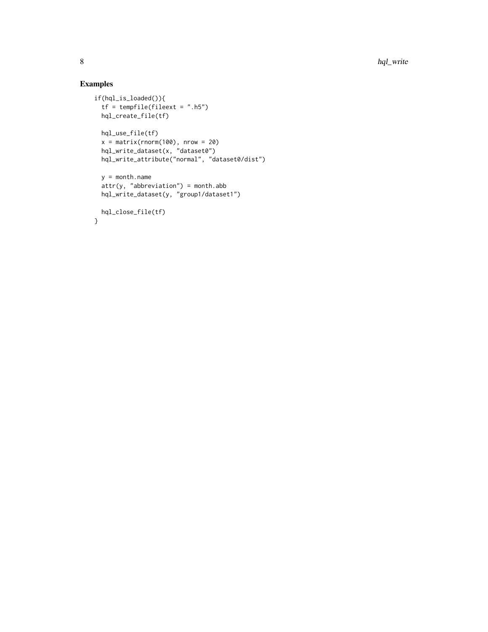# Examples

```
if(hql_is_loaded()){
  tf = tempfile(fileext = ".h5")
 hql_create_file(tf)
 hql_use_file(tf)
  x = matrix(rnorm(100), nrow = 20)hql_write_dataset(x, "dataset0")
  hql_write_attribute("normal", "dataset0/dist")
 y = month.name
 attr(y, "abbreviation") = month.abb
 hql_write_dataset(y, "group1/dataset1")
 hql_close_file(tf)
}
```